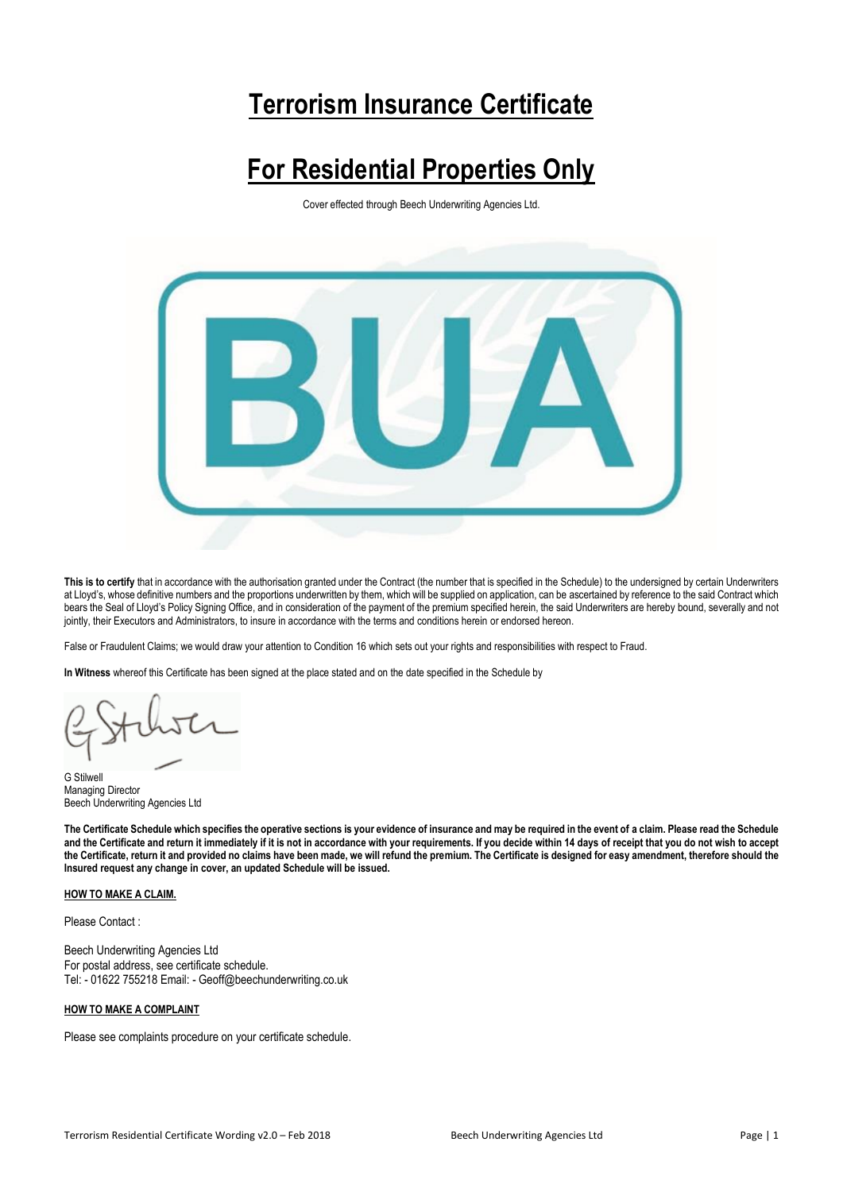# **Terrorism Insurance Certificate**

# **For Residential Properties Only**

Cover effected through Beech Underwriting Agencies Ltd.



**This is to certify** that in accordance with the authorisation granted under the Contract (the number that is specified in the Schedule) to the undersigned by certain Underwriters at Lloyd's, whose definitive numbers and the proportions underwritten by them, which will be supplied on application, can be ascertained by reference to the said Contract which bears the Seal of Lloyd's Policy Signing Office, and in consideration of the payment of the premium specified herein, the said Underwriters are hereby bound, severally and not jointly, their Executors and Administrators, to insure in accordance with the terms and conditions herein or endorsed hereon.

False or Fraudulent Claims; we would draw your attention to Condition 16 which sets out your rights and responsibilities with respect to Fraud.

**In Witness** whereof this Certificate has been signed at the place stated and on the date specified in the Schedule by

G Stilwell Managing Director Beech Underwriting Agencies Ltd

**The Certificate Schedule which specifies the operative sections is your evidence of insurance and may be required in the event of a claim. Please read the Schedule and the Certificate and return it immediately if it is not in accordance with your requirements. If you decide within 14 days of receipt that you do not wish to accept the Certificate, return it and provided no claims have been made, we will refund the premium. The Certificate is designed for easy amendment, therefore should the Insured request any change in cover, an updated Schedule will be issued.**

# **HOW TO MAKE A CLAIM.**

Please Contact :

Beech Underwriting Agencies Ltd For postal address, see certificate schedule. Tel: - 01622 755218 Email: - Geoff@beechunderwriting.co.uk

## **HOW TO MAKE A COMPLAINT**

Please see complaints procedure on your certificate schedule.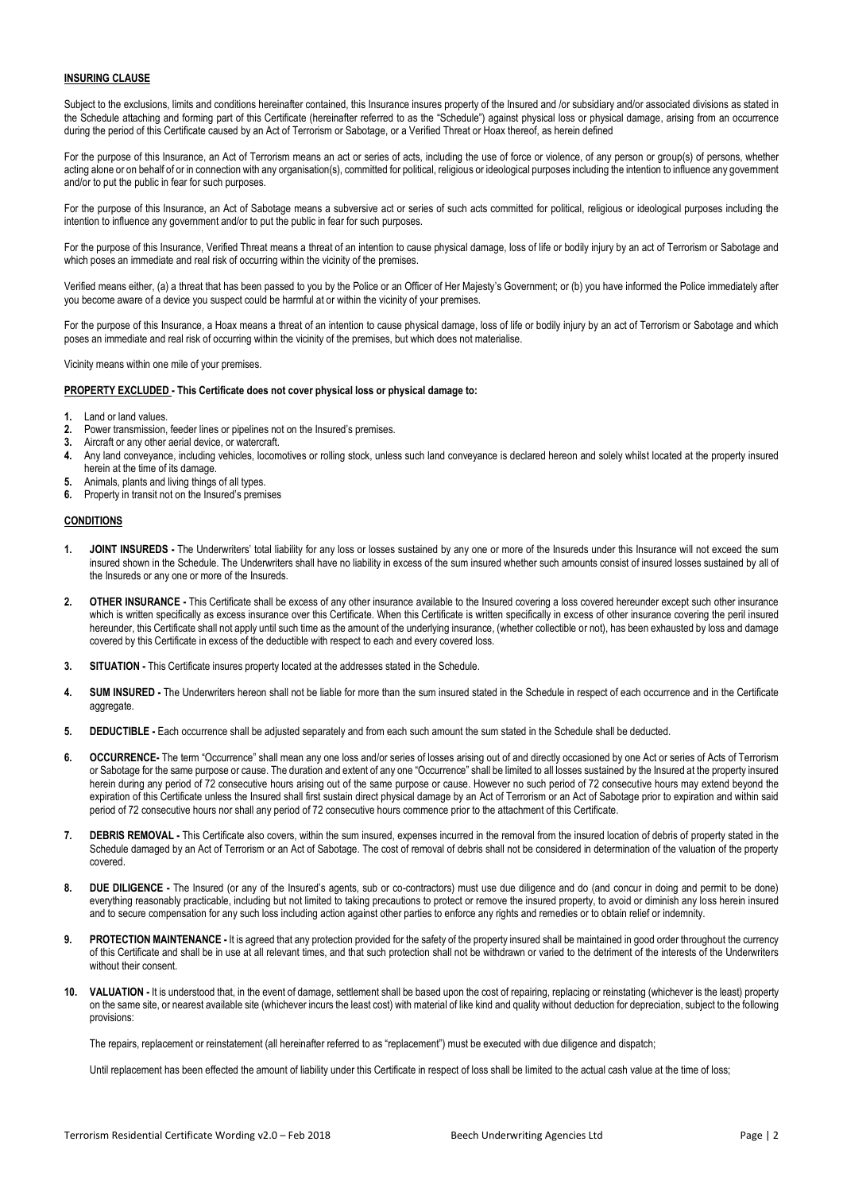### **INSURING CLAUSE**

Subject to the exclusions, limits and conditions hereinafter contained, this Insurance insures property of the Insured and /or subsidiary and/or associated divisions as stated in the Schedule attaching and forming part of this Certificate (hereinafter referred to as the "Schedule") against physical loss or physical damage, arising from an occurrence during the period of this Certificate caused by an Act of Terrorism or Sabotage, or a Verified Threat or Hoax thereof, as herein defined

For the purpose of this Insurance, an Act of Terrorism means an act or series of acts, including the use of force or violence, of any person or group(s) of persons, whether acting alone or on behalf of or in connection with any organisation(s), committed for political, religious or ideological purposes including the intention to influence any government and/or to put the public in fear for such purposes.

For the purpose of this Insurance, an Act of Sabotage means a subversive act or series of such acts committed for political, religious or ideological purposes including the intention to influence any government and/or to put the public in fear for such purposes.

For the purpose of this Insurance, Verified Threat means a threat of an intention to cause physical damage, loss of life or bodily injury by an act of Terrorism or Sabotage and which poses an immediate and real risk of occurring within the vicinity of the premises.

Verified means either, (a) a threat that has been passed to you by the Police or an Officer of Her Majesty's Government; or (b) you have informed the Police immediately after you become aware of a device you suspect could be harmful at or within the vicinity of your premises.

For the purpose of this Insurance, a Hoax means a threat of an intention to cause physical damage, loss of life or bodily injury by an act of Terrorism or Sabotage and which poses an immediate and real risk of occurring within the vicinity of the premises, but which does not materialise.

Vicinity means within one mile of your premises.

## **PROPERTY EXCLUDED - This Certificate does not cover physical loss or physical damage to:**

- **1.** Land or land values.
- **2.** Power transmission, feeder lines or pipelines not on the Insured's premises.
- **3.** Aircraft or any other aerial device, or watercraft.
- **4.** Any land conveyance, including vehicles, locomotives or rolling stock, unless such land conveyance is declared hereon and solely whilst located at the property insured herein at the time of its damage.
- **5.** Animals, plants and living things of all types.
- **6.** Property in transit not on the Insured's premises

# **CONDITIONS**

- **1. JOINT INSUREDS -** The Underwriters' total liability for any loss or losses sustained by any one or more of the Insureds under this Insurance will not exceed the sum insured shown in the Schedule. The Underwriters shall have no liability in excess of the sum insured whether such amounts consist of insured losses sustained by all of the Insureds or any one or more of the Insureds.
- **2. OTHER INSURANCE -** This Certificate shall be excess of any other insurance available to the Insured covering a loss covered hereunder except such other insurance which is written specifically as excess insurance over this Certificate. When this Certificate is written specifically in excess of other insurance covering the peril insured hereunder, this Certificate shall not apply until such time as the amount of the underlying insurance, (whether collectible or not), has been exhausted by loss and damage covered by this Certificate in excess of the deductible with respect to each and every covered loss.
- **3. SITUATION -** This Certificate insures property located at the addresses stated in the Schedule.
- **4. SUM INSURED -** The Underwriters hereon shall not be liable for more than the sum insured stated in the Schedule in respect of each occurrence and in the Certificate aggregate.
- **5. DEDUCTIBLE -** Each occurrence shall be adjusted separately and from each such amount the sum stated in the Schedule shall be deducted.
- **6. OCCURRENCE-** The term "Occurrence" shall mean any one loss and/or series of losses arising out of and directly occasioned by one Act or series of Acts of Terrorism or Sabotage for the same purpose or cause. The duration and extent of any one "Occurrence" shall be limited to all losses sustained by the Insured at the property insured herein during any period of 72 consecutive hours arising out of the same purpose or cause. However no such period of 72 consecutive hours may extend beyond the expiration of this Certificate unless the Insured shall first sustain direct physical damage by an Act of Terrorism or an Act of Sabotage prior to expiration and within said period of 72 consecutive hours nor shall any period of 72 consecutive hours commence prior to the attachment of this Certificate.
- **7. DEBRIS REMOVAL -** This Certificate also covers, within the sum insured, expenses incurred in the removal from the insured location of debris of property stated in the Schedule damaged by an Act of Terrorism or an Act of Sabotage. The cost of removal of debris shall not be considered in determination of the valuation of the property covered.
- **8. DUE DILIGENCE -** The Insured (or any of the Insured's agents, sub or co-contractors) must use due diligence and do (and concur in doing and permit to be done) everything reasonably practicable, including but not limited to taking precautions to protect or remove the insured property, to avoid or diminish any loss herein insured and to secure compensation for any such loss including action against other parties to enforce any rights and remedies or to obtain relief or indemnity.
- **9. PROTECTION MAINTENANCE -** It is agreed that any protection provided for the safety of the property insured shall be maintained in good order throughout the currency of this Certificate and shall be in use at all relevant times, and that such protection shall not be withdrawn or varied to the detriment of the interests of the Underwriters without their consent.
- **10. VALUATION -** It is understood that, in the event of damage, settlement shall be based upon the cost of repairing, replacing or reinstating (whichever is the least) property on the same site, or nearest available site (whichever incurs the least cost) with material of like kind and quality without deduction for depreciation, subject to the following provisions:

The repairs, replacement or reinstatement (all hereinafter referred to as "replacement") must be executed with due diligence and dispatch;

Until replacement has been effected the amount of liability under this Certificate in respect of loss shall be limited to the actual cash value at the time of loss;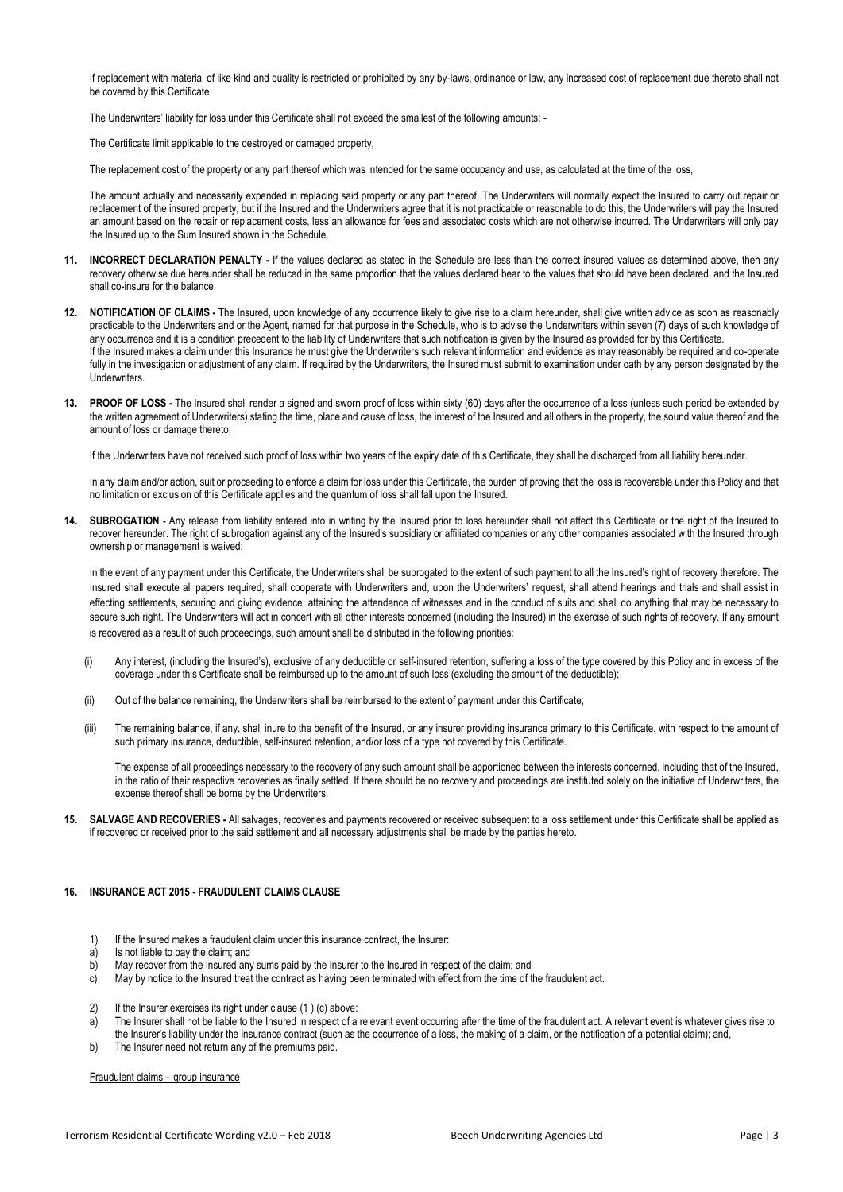If replacement with material of like kind and quality is restricted or prohibited by any by-laws, ordinance or law, any increased cost of replacement due thereto shall not be covered by this Certificate.

The Underwriters' liability for loss under this Certificate shall not exceed the smallest of the following amounts: -

The Certificate limit applicable to the destroyed or damaged property,

The replacement cost of the property or any part thereof which was intended for the same occupancy and use, as calculated at the time of the loss,

The amount actually and necessarily expended in replacing said property or any part thereof. The Underwriters will normally expect the Insured to carry out repair or replacement of the insured property, but if the Insured and the Underwriters agree that it is not practicable or reasonable to do this, the Underwriters will pay the Insured an amount based on the repair or replacement costs, less an allowance for fees and associated costs which are not otherwise incurred. The Underwriters will only pay the Insured up to the Sum Insured shown in the Schedule.

- **11. INCORRECT DECLARATION PENALTY -** If the values declared as stated in the Schedule are less than the correct insured values as determined above, then any recovery otherwise due hereunder shall be reduced in the same proportion that the values declared bear to the values that should have been declared, and the Insured shall co-insure for the balance.
- **12. NOTIFICATION OF CLAIMS -** The Insured, upon knowledge of any occurrence likely to give rise to a claim hereunder, shall give written advice as soon as reasonably practicable to the Underwriters and or the Agent, named for that purpose in the Schedule, who is to advise the Underwriters within seven (7) days of such knowledge of any occurrence and it is a condition precedent to the liability of Underwriters that such notification is given by the Insured as provided for by this Certificate. If the Insured makes a claim under this Insurance he must give the Underwriters such relevant information and evidence as may reasonably be required and co-operate fully in the investigation or adjustment of any claim. If required by the Underwriters, the Insured must submit to examination under oath by any person designated by the Underwriters.
- **13. PROOF OF LOSS -** The Insured shall render a signed and sworn proof of loss within sixty (60) days after the occurrence of a loss (unless such period be extended by the written agreement of Underwriters) stating the time, place and cause of loss, the interest of the Insured and all others in the property, the sound value thereof and the amount of loss or damage thereto.

If the Underwriters have not received such proof of loss within two years of the expiry date of this Certificate, they shall be discharged from all liability hereunder.

In any claim and/or action, suit or proceeding to enforce a claim for loss under this Certificate, the burden of proving that the loss is recoverable under this Policy and that no limitation or exclusion of this Certificate applies and the quantum of loss shall fall upon the Insured.

**14. SUBROGATION -** Any release from liability entered into in writing by the Insured prior to loss hereunder shall not affect this Certificate or the right of the Insured to recover hereunder. The right of subrogation against any of the Insured's subsidiary or affiliated companies or any other companies associated with the Insured through ownership or management is waived;

In the event of any payment under this Certificate, the Underwriters shall be subrogated to the extent of such payment to all the Insured's right of recovery therefore. The Insured shall execute all papers required, shall cooperate with Underwriters and, upon the Underwriters' request, shall attend hearings and trials and shall assist in effecting settlements, securing and giving evidence, attaining the attendance of witnesses and in the conduct of suits and shall do anything that may be necessary to secure such right. The Underwriters will act in concert with all other interests concerned (including the Insured) in the exercise of such rights of recovery. If any amount is recovered as a result of such proceedings, such amount shall be distributed in the following priorities:

- (i) Any interest, (including the Insured's), exclusive of any deductible or self-insured retention, suffering a loss of the type covered by this Policy and in excess of the coverage under this Certificate shall be reimbursed up to the amount of such loss (excluding the amount of the deductible);
- (ii) Out of the balance remaining, the Underwriters shall be reimbursed to the extent of payment under this Certificate;
- (iii) The remaining balance, if any, shall inure to the benefit of the Insured, or any insurer providing insurance primary to this Certificate, with respect to the amount of such primary insurance, deductible, self-insured retention, and/or loss of a type not covered by this Certificate.

The expense of all proceedings necessary to the recovery of any such amount shall be apportioned between the interests concerned, including that of the Insured, in the ratio of their respective recoveries as finally settled. If there should be no recovery and proceedings are instituted solely on the initiative of Underwriters, the expense thereof shall be borne by the Underwriters.

**15. SALVAGE AND RECOVERIES -** All salvages, recoveries and payments recovered or received subsequent to a loss settlement under this Certificate shall be applied as if recovered or received prior to the said settlement and all necessary adjustments shall be made by the parties hereto.

# **16. INSURANCE ACT 2015 - FRAUDULENT CLAIMS CLAUSE**

- 1) If the Insured makes a fraudulent claim under this insurance contract, the Insurer:
- a) Is not liable to pay the claim; and
- b) May recover from the Insured any sums paid by the Insurer to the Insured in respect of the claim; and
- c) May by notice to the Insured treat the contract as having been terminated with effect from the time of the fraudulent act.
- 2) If the Insurer exercises its right under clause (1 ) (c) above:
- a) The Insurer shall not be liable to the Insured in respect of a relevant event occurring after the time of the fraudulent act. A relevant event is whatever gives rise to the Insurer's liability under the insurance contract (such as the occurrence of a loss, the making of a claim, or the notification of a potential claim); and,
- b) The Insurer need not return any of the premiums paid.

Fraudulent claims – group insurance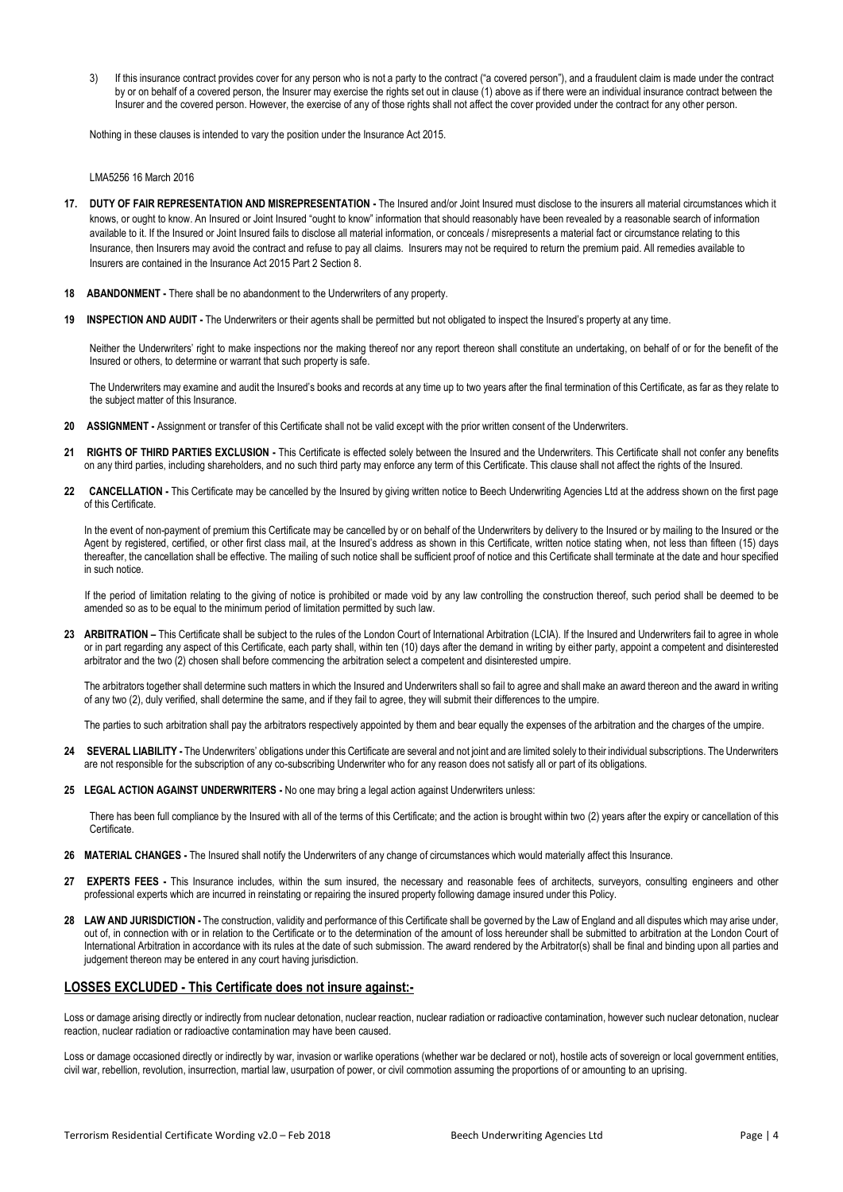If this insurance contract provides cover for any person who is not a party to the contract ("a covered person"), and a fraudulent claim is made under the contract by or on behalf of a covered person, the Insurer may exercise the rights set out in clause (1) above as if there were an individual insurance contract between the Insurer and the covered person. However, the exercise of any of those rights shall not affect the cover provided under the contract for any other person.

Nothing in these clauses is intended to vary the position under the Insurance Act 2015.

LMA5256 16 March 2016

- **17. DUTY OF FAIR REPRESENTATION AND MISREPRESENTATION -** The Insured and/or Joint Insured must disclose to the insurers all material circumstances which it knows, or ought to know. An Insured or Joint Insured "ought to know" information that should reasonably have been revealed by a reasonable search of information available to it. If the Insured or Joint Insured fails to disclose all material information, or conceals / misrepresents a material fact or circumstance relating to this Insurance, then Insurers may avoid the contract and refuse to pay all claims. Insurers may not be required to return the premium paid. All remedies available to Insurers are contained in the Insurance Act 2015 Part 2 Section 8.
- **18 ABANDONMENT -** There shall be no abandonment to the Underwriters of any property.
- **19 INSPECTION AND AUDIT -** The Underwriters or their agents shall be permitted but not obligated to inspect the Insured's property at any time.

Neither the Underwriters' right to make inspections nor the making thereof nor any report thereon shall constitute an undertaking, on behalf of or for the benefit of the Insured or others, to determine or warrant that such property is safe.

The Underwriters may examine and audit the Insured's books and records at any time up to two years after the final termination of this Certificate, as far as they relate to the subject matter of this Insurance.

- **20 ASSIGNMENT -** Assignment or transfer of this Certificate shall not be valid except with the prior written consent of the Underwriters.
- **21 RIGHTS OF THIRD PARTIES EXCLUSION -** This Certificate is effected solely between the Insured and the Underwriters. This Certificate shall not confer any benefits on any third parties, including shareholders, and no such third party may enforce any term of this Certificate. This clause shall not affect the rights of the Insured.
- **22 CANCELLATION -** This Certificate may be cancelled by the Insured by giving written notice to Beech Underwriting Agencies Ltd at the address shown on the first page of this Certificate.

In the event of non-payment of premium this Certificate may be cancelled by or on behalf of the Underwriters by delivery to the Insured or by mailing to the Insured or the Agent by registered, certified, or other first class mail, at the Insured's address as shown in this Certificate, written notice stating when, not less than fifteen (15) days thereafter, the cancellation shall be effective. The mailing of such notice shall be sufficient proof of notice and this Certificate shall terminate at the date and hour specified in such notice.

 If the period of limitation relating to the giving of notice is prohibited or made void by any law controlling the construction thereof, such period shall be deemed to be amended so as to be equal to the minimum period of limitation permitted by such law.

23 **ARBITRATION** – This Certificate shall be subject to the rules of the London Court of International Arbitration (LCIA). If the Insured and Underwriters fail to agree in whole or in part regarding any aspect of this Certificate, each party shall, within ten (10) days after the demand in writing by either party, appoint a competent and disinterested arbitrator and the two (2) chosen shall before commencing the arbitration select a competent and disinterested umpire.

The arbitrators together shall determine such matters in which the Insured and Underwriters shall so fail to agree and shall make an award thereon and the award in writing of any two (2), duly verified, shall determine the same, and if they fail to agree, they will submit their differences to the umpire.

The parties to such arbitration shall pay the arbitrators respectively appointed by them and bear equally the expenses of the arbitration and the charges of the umpire.

- **24 SEVERAL LIABILITY -** The Underwriters' obligations under this Certificate are several and not joint and are limited solely to their individual subscriptions. The Underwriters are not responsible for the subscription of any co-subscribing Underwriter who for any reason does not satisfy all or part of its obligations.
- **25 LEGAL ACTION AGAINST UNDERWRITERS -** No one may bring a legal action against Underwriters unless:

There has been full compliance by the Insured with all of the terms of this Certificate; and the action is brought within two (2) years after the expiry or cancellation of this Certificate.

- **26 MATERIAL CHANGES -** The Insured shall notify the Underwriters of any change of circumstances which would materially affect this Insurance.
- **27 EXPERTS FEES -** This Insurance includes, within the sum insured, the necessary and reasonable fees of architects, surveyors, consulting engineers and other professional experts which are incurred in reinstating or repairing the insured property following damage insured under this Policy.
- **28 LAW AND JURISDICTION -** The construction, validity and performance of this Certificate shall be governed by the Law of England and all disputes which may arise under, out of, in connection with or in relation to the Certificate or to the determination of the amount of loss hereunder shall be submitted to arbitration at the London Court of International Arbitration in accordance with its rules at the date of such submission. The award rendered by the Arbitrator(s) shall be final and binding upon all parties and judgement thereon may be entered in any court having jurisdiction.

# **LOSSES EXCLUDED - This Certificate does not insure against:-**

Loss or damage arising directly or indirectly from nuclear detonation, nuclear radiation or radioactive contamination, however such nuclear detonation, nuclear reaction, nuclear radiation or radioactive contamination may have been caused.

Loss or damage occasioned directly or indirectly by war, invasion or warlike operations (whether war be declared or not), hostile acts of sovereign or local government entities, civil war, rebellion, revolution, insurrection, martial law, usurpation of power, or civil commotion assuming the proportions of or amounting to an uprising.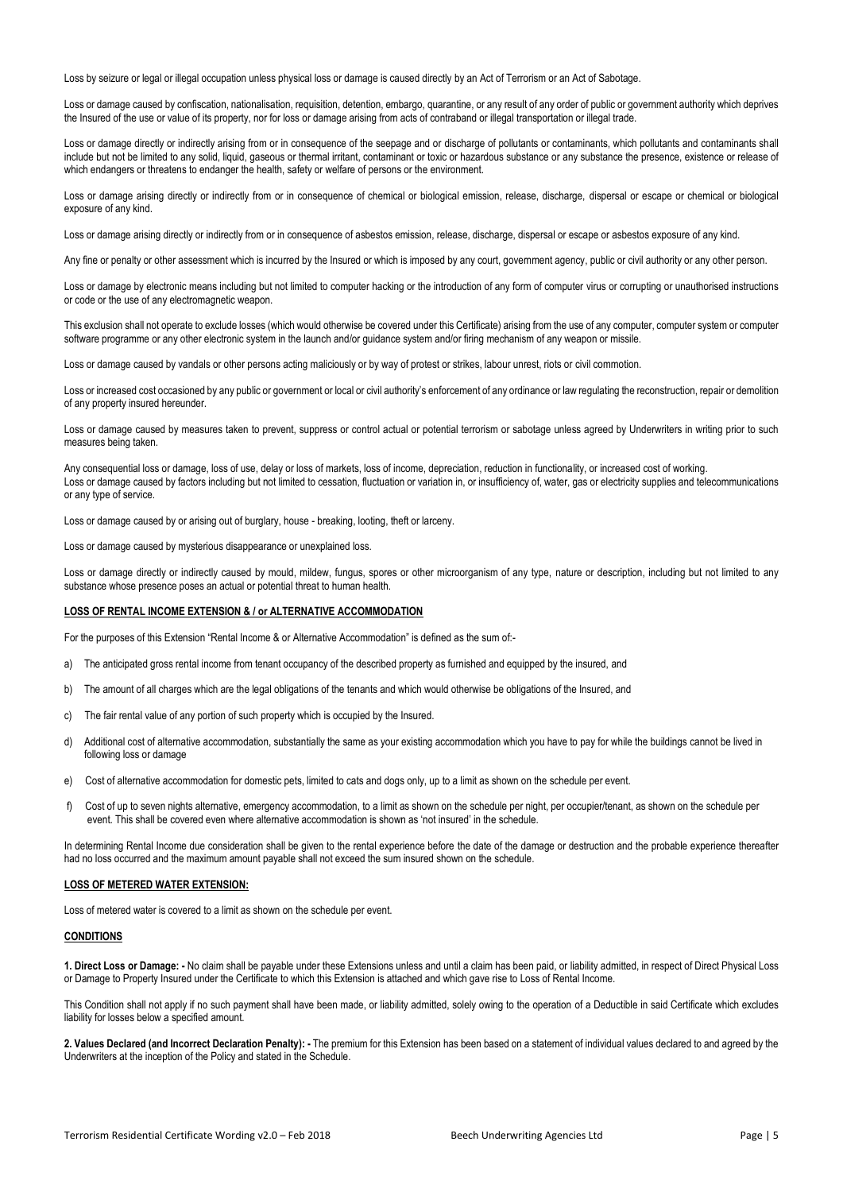Loss by seizure or legal or illegal occupation unless physical loss or damage is caused directly by an Act of Terrorism or an Act of Sabotage.

Loss or damage caused by confiscation, nationalisation, requisition, detention, embargo, quarantine, or any result of any order of public or government authority which deprives the Insured of the use or value of its property, nor for loss or damage arising from acts of contraband or illegal transportation or illegal trade.

Loss or damage directly or indirectly arising from or in consequence of the seepage and or discharge of pollutants or contaminants, which pollutants and contaminants shall include but not be limited to any solid, liquid, gaseous or thermal irritant, contaminant or toxic or hazardous substance or any substance the presence, existence or release of which endangers or threatens to endanger the health, safety or welfare of persons or the environment.

Loss or damage arising directly or indirectly from or in consequence of chemical or biological emission, release, discharge, dispersal or escape or chemical or biological exposure of any kind.

Loss or damage arising directly or indirectly from or in consequence of asbestos emission, release, discharge, dispersal or escape or asbestos exposure of any kind.

Any fine or penalty or other assessment which is incurred by the Insured or which is imposed by any court, government agency, public or civil authority or any other person.

Loss or damage by electronic means including but not limited to computer hacking or the introduction of any form of computer virus or corrupting or unauthorised instructions or code or the use of any electromagnetic weapon.

This exclusion shall not operate to exclude losses (which would otherwise be covered under this Certificate) arising from the use of any computer, computer system or computer software programme or any other electronic system in the launch and/or guidance system and/or firing mechanism of any weapon or missile.

Loss or damage caused by vandals or other persons acting maliciously or by way of protest or strikes, labour unrest, riots or civil commotion.

Loss or increased cost occasioned by any public or government or local or civil authority's enforcement of any ordinance or law regulating the reconstruction, repair or demolition of any property insured hereunder.

Loss or damage caused by measures taken to prevent, suppress or control actual or potential terrorism or sabotage unless agreed by Underwriters in writing prior to such measures being taken.

Any consequential loss or damage, loss of use, delay or loss of markets, loss of income, depreciation, reduction in functionality, or increased cost of working. Loss or damage caused by factors including but not limited to cessation, fluctuation or variation in, or insufficiency of, water, gas or electricity supplies and telecommunications or any type of service.

Loss or damage caused by or arising out of burglary, house - breaking, looting, theft or larceny.

Loss or damage caused by mysterious disappearance or unexplained loss.

Loss or damage directly or indirectly caused by mould, mildew, fungus, spores or other microorganism of any type, nature or description, including but not limited to any substance whose presence poses an actual or potential threat to human health.

### **LOSS OF RENTAL INCOME EXTENSION & / or ALTERNATIVE ACCOMMODATION**

For the purposes of this Extension "Rental Income & or Alternative Accommodation" is defined as the sum of:-

- a) The anticipated gross rental income from tenant occupancy of the described property as furnished and equipped by the insured, and
- b) The amount of all charges which are the legal obligations of the tenants and which would otherwise be obligations of the Insured, and
- c) The fair rental value of any portion of such property which is occupied by the Insured.
- d) Additional cost of alternative accommodation, substantially the same as your existing accommodation which you have to pay for while the buildings cannot be lived in following loss or damage
- e) Cost of alternative accommodation for domestic pets, limited to cats and dogs only, up to a limit as shown on the schedule per event.
- f) Cost of up to seven nights alternative, emergency accommodation, to a limit as shown on the schedule per night, per occupier/tenant, as shown on the schedule per event. This shall be covered even where alternative accommodation is shown as 'not insured' in the schedule.

In determining Rental Income due consideration shall be given to the rental experience before the date of the damage or destruction and the probable experience thereafter had no loss occurred and the maximum amount payable shall not exceed the sum insured shown on the schedule.

## **LOSS OF METERED WATER EXTENSION:**

Loss of metered water is covered to a limit as shown on the schedule per event.

## **CONDITIONS**

**1. Direct Loss or Damage: -** No claim shall be payable under these Extensions unless and until a claim has been paid, or liability admitted, in respect of Direct Physical Loss or Damage to Property Insured under the Certificate to which this Extension is attached and which gave rise to Loss of Rental Income.

This Condition shall not apply if no such payment shall have been made, or liability admitted, solely owing to the operation of a Deductible in said Certificate which excludes liability for losses below a specified amount.

**2. Values Declared (and Incorrect Declaration Penalty): -** The premium for this Extension has been based on a statement of individual values declared to and agreed by the Underwriters at the inception of the Policy and stated in the Schedule.